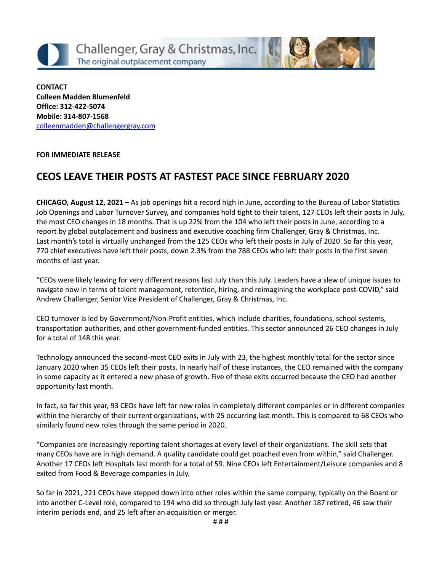



#### **FOR IMMEDIATE RELEASE**

# **CEOS LEAVE THEIR POSTS AT FASTEST PACE SINCE FEBRUARY 2020**

**CHICAGO, August 12, 2021 –** As job openings hit a record high in June, according to the Bureau of Labor Statistics Job Openings and Labor Turnover Survey, and companies hold tight to their talent, 127 CEOs left their posts in July, the most CEO changes in 18 months. That is up 22% from the 104 who left their posts in June, according to a report by global outplacement and business and executive coaching firm Challenger, Gray & Christmas, Inc. Last month's total is virtually unchanged from the 125 CEOs who left their posts in July of 2020. So far this year, 770 chief executives have left their posts, down 2.3% from the 788 CEOs who left their posts in the first seven months of last year.

"CEOs were likely leaving for very different reasons last July than this July. Leaders have a slew of unique issues to navigate now in terms of talent management, retention, hiring, and reimagining the workplace post-COVID," said Andrew Challenger, Senior Vice President of Challenger, Gray & Christmas, Inc.

CEO turnover is led by Government/Non-Profit entities, which include charities, foundations, school systems, transportation authorities, and other government-funded entities. This sector announced 26 CEO changes in July for a total of 148 this year.

Technology announced the second-most CEO exits in July with 23, the highest monthly total for the sector since January 2020 when 35 CEOs left their posts. In nearly half of these instances, the CEO remained with the company in some capacity as it entered a new phase of growth. Five of these exits occurred because the CEO had another opportunity last month.

In fact, so far this year, 93 CEOs have left for new roles in completely different companies or in different companies within the hierarchy of their current organizations, with 25 occurring last month. This is compared to 68 CEOs who similarly found new roles through the same period in 2020.

"Companies are increasingly reporting talent shortages at every level of their organizations. The skill sets that many CEOs have are in high demand. A quality candidate could get poached even from within," said Challenger. Another 17 CEOs left Hospitals last month for a total of 59. Nine CEOs left Entertainment/Leisure companies and 8 exited from Food & Beverage companies in July.

So far in 2021, 221 CEOs have stepped down into other roles within the same company, typically on the Board or into another C-Level role, compared to 194 who did so through July last year. Another 187 retired, 46 saw their interim periods end, and 25 left after an acquisition or merger.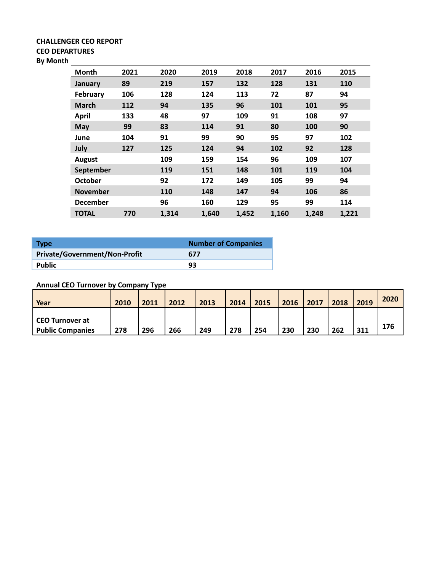#### **CHALLENGER CEO REPORT CEO DEPARTURES By Month**

| Month           | 2021 | 2020  | 2019  | 2018  | 2017  | 2016  | 2015  |
|-----------------|------|-------|-------|-------|-------|-------|-------|
| January         | 89   | 219   | 157   | 132   | 128   | 131   | 110   |
| <b>February</b> | 106  | 128   | 124   | 113   | 72    | 87    | 94    |
| <b>March</b>    | 112  | 94    | 135   | 96    | 101   | 101   | 95    |
| <b>April</b>    | 133  | 48    | 97    | 109   | 91    | 108   | 97    |
| <b>May</b>      | 99   | 83    | 114   | 91    | 80    | 100   | 90    |
| June            | 104  | 91    | 99    | 90    | 95    | 97    | 102   |
| July            | 127  | 125   | 124   | 94    | 102   | 92    | 128   |
| <b>August</b>   |      | 109   | 159   | 154   | 96    | 109   | 107   |
| September       |      | 119   | 151   | 148   | 101   | 119   | 104   |
| <b>October</b>  |      | 92    | 172   | 149   | 105   | 99    | 94    |
| <b>November</b> |      | 110   | 148   | 147   | 94    | 106   | 86    |
| <b>December</b> |      | 96    | 160   | 129   | 95    | 99    | 114   |
| <b>TOTAL</b>    | 770  | 1,314 | 1,640 | 1,452 | 1,160 | 1,248 | 1,221 |

| <b>Type</b>                          | <b>Number of Companies</b> |
|--------------------------------------|----------------------------|
| <b>Private/Government/Non-Profit</b> | 677                        |
| Public                               | 93                         |

# **Annual CEO Turnover by Company Type**

| Year                    | 2010 | 2011 | 2012 | 2013 | 2014 | 2015 | 2016 | 2017 | 2018 | 2019 | 2020 |
|-------------------------|------|------|------|------|------|------|------|------|------|------|------|
| CEO Turnover at         |      |      |      |      |      |      |      |      |      |      |      |
| <b>Public Companies</b> | 278  | 296  | 266  | 249  | 278  | 254  | 230  | 230  | 262  | 311  | 176  |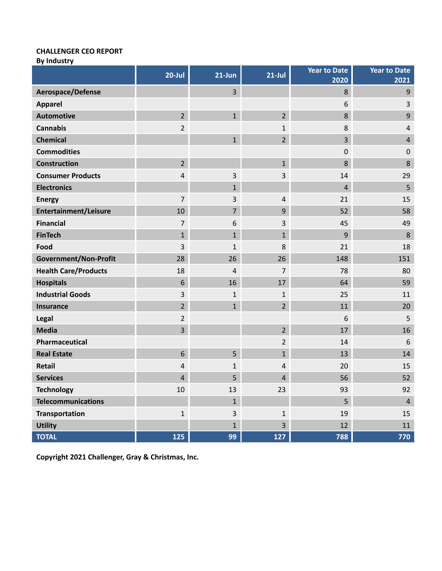# **CHALLENGER CEO REPORT**

**By Industry**

|                              | $20$ -Jul      | $21$ -Jun      | $21$ -Jul               | <b>Year to Date</b><br>2020 | <b>Year to Date</b><br>2021 |
|------------------------------|----------------|----------------|-------------------------|-----------------------------|-----------------------------|
| Aerospace/Defense            |                | 3              |                         | 8                           | 9                           |
| <b>Apparel</b>               |                |                |                         | 6                           | 3                           |
| <b>Automotive</b>            | $\overline{2}$ | $\mathbf{1}$   | $\overline{2}$          | 8                           | 9                           |
| <b>Cannabis</b>              | 2              |                | $\mathbf{1}$            | 8                           | $\overline{4}$              |
| <b>Chemical</b>              |                | $\mathbf{1}$   | $\overline{2}$          | 3                           | $\overline{4}$              |
| <b>Commodities</b>           |                |                |                         | 0                           | $\mathbf 0$                 |
| <b>Construction</b>          | $\overline{2}$ |                | $\mathbf{1}$            | 8                           | 8                           |
| <b>Consumer Products</b>     | 4              | 3              | 3                       | 14                          | 29                          |
| <b>Electronics</b>           |                | $\mathbf{1}$   |                         | $\overline{4}$              | 5                           |
| <b>Energy</b>                | $\overline{7}$ | 3              | $\overline{4}$          | 21                          | 15                          |
| <b>Entertainment/Leisure</b> | 10             | $\overline{7}$ | 9                       | 52                          | 58                          |
| <b>Financial</b>             | 7              | 6              | 3                       | 45                          | 49                          |
| <b>FinTech</b>               | $\mathbf{1}$   | $\mathbf{1}$   | $\mathbf{1}$            | 9                           | 8                           |
| Food                         | 3              | $\mathbf{1}$   | 8                       | 21                          | 18                          |
| Government/Non-Profit        | 28             | 26             | 26                      | 148                         | 151                         |
| <b>Health Care/Products</b>  | 18             | $\overline{4}$ | 7                       | 78                          | 80                          |
| <b>Hospitals</b>             | 6              | 16             | 17                      | 64                          | 59                          |
| <b>Industrial Goods</b>      | 3              | $\mathbf{1}$   | $\mathbf{1}$            | 25                          | 11                          |
| Insurance                    | $\overline{2}$ | $\mathbf{1}$   | $\overline{2}$          | 11                          | 20                          |
| Legal                        | 2              |                |                         | 6                           | 5                           |
| <b>Media</b>                 | 3              |                | $\overline{2}$          | 17                          | 16                          |
| Pharmaceutical               |                |                | $\overline{2}$          | 14                          | 6                           |
| <b>Real Estate</b>           | 6              | 5              | $\mathbf{1}$            | 13                          | 14                          |
| <b>Retail</b>                | 4              | $\mathbf{1}$   | 4                       | 20                          | 15                          |
| <b>Services</b>              | 4              | 5              | 4                       | 56                          | 52                          |
| <b>Technology</b>            | $10\,$         | 13             | 23                      | 93                          | 92                          |
| <b>Telecommunications</b>    |                | $\mathbf{1}$   |                         | 5                           | $\overline{4}$              |
| <b>Transportation</b>        | $\mathbf 1$    | 3              | $\mathbf{1}$            | 19                          | 15                          |
| <b>Utility</b>               |                | $\mathbf{1}$   | $\overline{\mathbf{3}}$ | 12                          | 11                          |
| <b>TOTAL</b>                 | 125            | 99             | 127                     | 788                         | 770                         |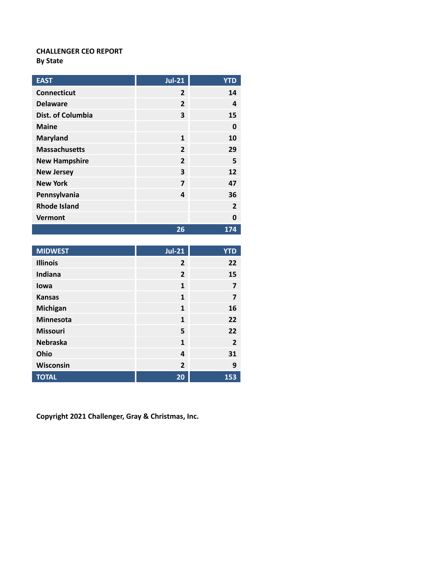### **CHALLENGER CEO REPORT By State**

| <b>EAST</b>          | <b>Jul-21</b>  | <b>YTD</b>     |
|----------------------|----------------|----------------|
| <b>Connecticut</b>   | $\overline{2}$ | 14             |
| <b>Delaware</b>      | $\overline{2}$ | 4              |
| Dist. of Columbia    | 3              | 15             |
| <b>Maine</b>         |                | 0              |
| <b>Maryland</b>      | 1              | 10             |
| <b>Massachusetts</b> | $\overline{2}$ | 29             |
| <b>New Hampshire</b> | $\overline{2}$ | 5              |
| <b>New Jersey</b>    | 3              | 12             |
| <b>New York</b>      | 7              | 47             |
| Pennsylvania         | 4              | 36             |
| <b>Rhode Island</b>  |                | $\overline{2}$ |
| <b>Vermont</b>       |                | 0              |
|                      | 26             | 174            |

| <b>MIDWEST</b>   | $Jul-21$       | <b>YTD</b>     |
|------------------|----------------|----------------|
| <b>Illinois</b>  | $\overline{2}$ | 22             |
| Indiana          | $\overline{2}$ | 15             |
| lowa             | $\mathbf{1}$   | 7              |
| <b>Kansas</b>    | $\mathbf{1}$   | 7              |
| Michigan         | $\overline{1}$ | 16             |
| <b>Minnesota</b> | $\mathbf{1}$   | 22             |
| <b>Missouri</b>  | 5              | 22             |
| <b>Nebraska</b>  | $\mathbf{1}$   | $\overline{2}$ |
| Ohio             | 4              | 31             |
| Wisconsin        | $\overline{2}$ | 9              |
| <b>TOTAL</b>     | 20             | 153            |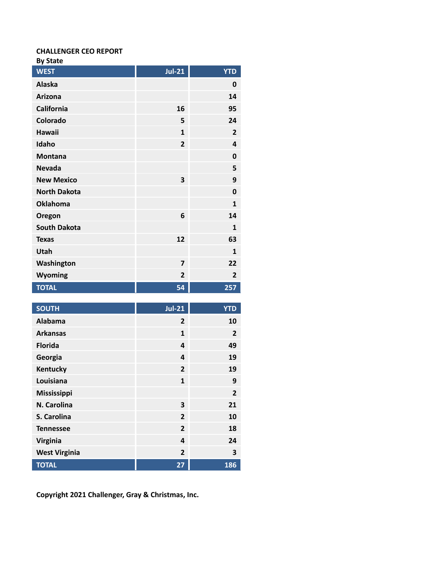### **CHALLENGER CEO REPORT**

| н | ∽<br>тат<br>×. |
|---|----------------|
|---|----------------|

| <b>WEST</b>         | $Jul-21$                | <b>YTD</b>     |
|---------------------|-------------------------|----------------|
| Alaska              |                         | 0              |
| <b>Arizona</b>      |                         | 14             |
| <b>California</b>   | 16                      | 95             |
| Colorado            | 5                       | 24             |
| Hawaii              | $\mathbf{1}$            | $\overline{2}$ |
| Idaho               | $\overline{2}$          | 4              |
| <b>Montana</b>      |                         | $\mathbf 0$    |
| <b>Nevada</b>       |                         | 5              |
| <b>New Mexico</b>   | $\overline{\mathbf{3}}$ | 9              |
| <b>North Dakota</b> |                         | $\mathbf 0$    |
| <b>Oklahoma</b>     |                         | $\mathbf{1}$   |
| Oregon              | 6                       | 14             |
| <b>South Dakota</b> |                         | $\mathbf{1}$   |
| <b>Texas</b>        | 12                      | 63             |
| Utah                |                         | $\mathbf{1}$   |
| Washington          | $\overline{7}$          | 22             |
| Wyoming             | $\overline{2}$          | $\overline{2}$ |
| <b>TOTAL</b>        | 54                      | 257            |

| <b>SOUTH</b>         | <b>Jul-21</b>           | <b>YTD</b>     |
|----------------------|-------------------------|----------------|
| Alabama              | $\overline{2}$          | 10             |
| <b>Arkansas</b>      | $\mathbf{1}$            | $\overline{2}$ |
| <b>Florida</b>       | 4                       | 49             |
| Georgia              | $\overline{\mathbf{4}}$ | 19             |
| Kentucky             | $\overline{2}$          | 19             |
| Louisiana            | $\mathbf{1}$            | 9              |
| Mississippi          |                         | $\overline{2}$ |
| N. Carolina          | 3                       | 21             |
| S. Carolina          | $\overline{2}$          | 10             |
| <b>Tennessee</b>     | $\overline{2}$          | 18             |
| <b>Virginia</b>      | $\overline{\mathbf{4}}$ | 24             |
| <b>West Virginia</b> | $\overline{2}$          | 3              |
| <b>TOTAL</b>         | 27                      | 186            |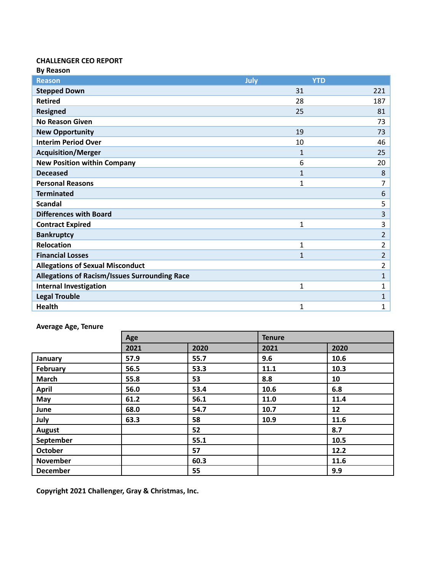#### **CHALLENGER CEO REPORT By Reason**

| <b>DY NEASUIT</b>                                    |                    |                |
|------------------------------------------------------|--------------------|----------------|
| <b>Reason</b>                                        | July<br><b>YTD</b> |                |
| <b>Stepped Down</b>                                  | 31                 | 221            |
| <b>Retired</b>                                       | 28                 | 187            |
| <b>Resigned</b>                                      | 25                 | 81             |
| <b>No Reason Given</b>                               |                    | 73             |
| <b>New Opportunity</b>                               | 19                 | 73             |
| <b>Interim Period Over</b>                           | 10                 | 46             |
| <b>Acquisition/Merger</b>                            | 1                  | 25             |
| <b>New Position within Company</b>                   | 6                  | 20             |
| <b>Deceased</b>                                      | $\mathbf{1}$       | 8              |
| <b>Personal Reasons</b>                              | $\mathbf{1}$       | 7              |
| <b>Terminated</b>                                    |                    | 6              |
| <b>Scandal</b>                                       |                    | 5              |
| <b>Differences with Board</b>                        |                    | 3              |
| <b>Contract Expired</b>                              | 1                  | 3              |
| <b>Bankruptcy</b>                                    |                    | $\overline{2}$ |
| <b>Relocation</b>                                    | $\mathbf{1}$       | 2              |
| <b>Financial Losses</b>                              | $\mathbf{1}$       | $\overline{2}$ |
| <b>Allegations of Sexual Misconduct</b>              |                    | $\overline{2}$ |
| <b>Allegations of Racism/Issues Surrounding Race</b> |                    | $\mathbf{1}$   |
| <b>Internal Investigation</b>                        | 1                  | 1              |
| <b>Legal Trouble</b>                                 |                    | $\mathbf{1}$   |
| <b>Health</b>                                        | 1                  | 1              |

# **Average Age, Tenure**

|                 | Age  |      | <b>Tenure</b> |      |
|-----------------|------|------|---------------|------|
|                 | 2021 | 2020 | 2021          | 2020 |
| January         | 57.9 | 55.7 | 9.6           | 10.6 |
| February        | 56.5 | 53.3 | 11.1          | 10.3 |
| <b>March</b>    | 55.8 | 53   | 8.8           | 10   |
| <b>April</b>    | 56.0 | 53.4 | 10.6          | 6.8  |
| May             | 61.2 | 56.1 | 11.0          | 11.4 |
| June            | 68.0 | 54.7 | 10.7          | 12   |
| July            | 63.3 | 58   | 10.9          | 11.6 |
| <b>August</b>   |      | 52   |               | 8.7  |
| September       |      | 55.1 |               | 10.5 |
| October         |      | 57   |               | 12.2 |
| <b>November</b> |      | 60.3 |               | 11.6 |
| <b>December</b> |      | 55   |               | 9.9  |